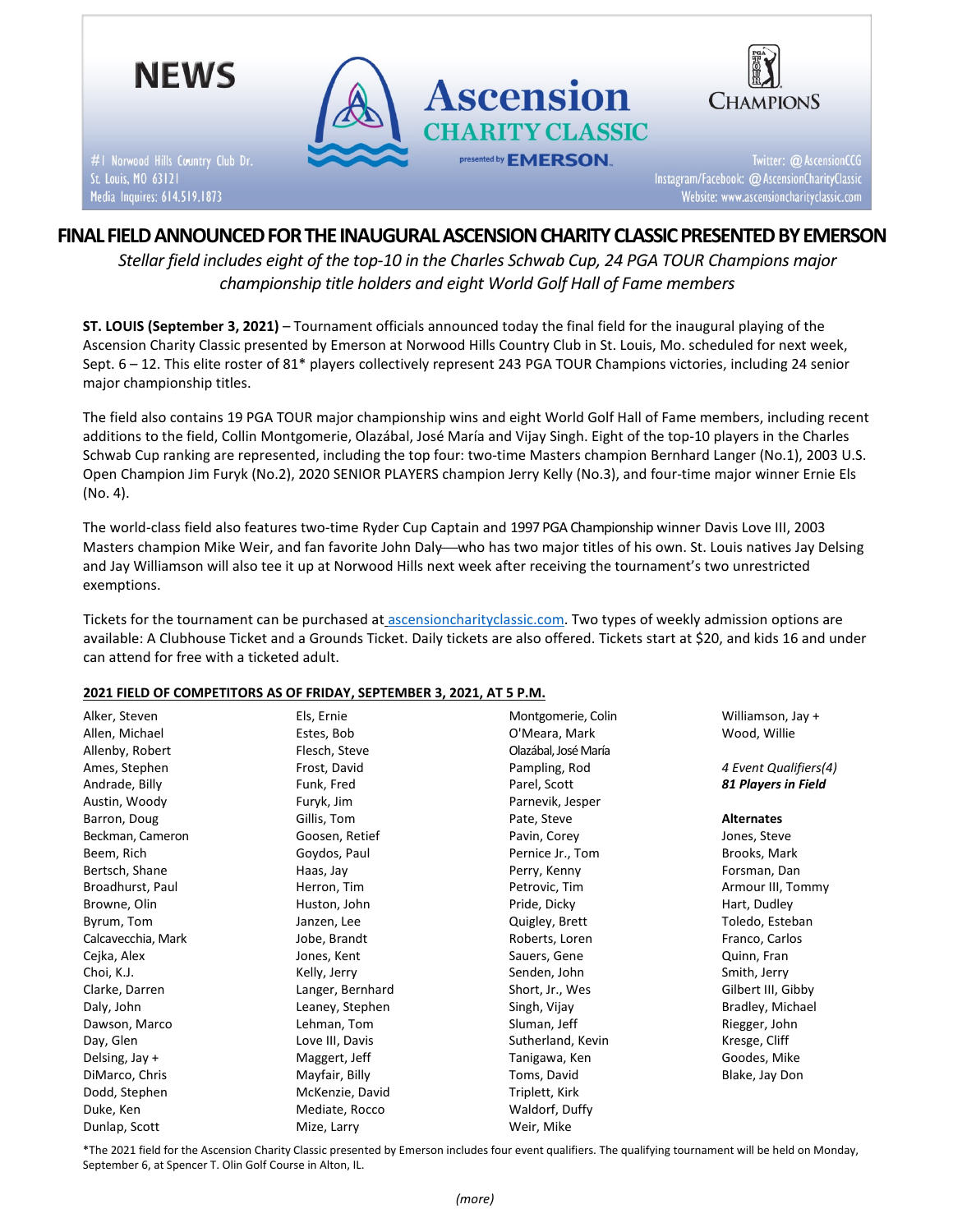

# FINAL FIELD ANNOUNCED FOR THE INAUGURAL ASCENSION CHARITY CLASSIC PRESENTED BY EMERSON

Stellar field includes eight of the top-10 in the Charles Schwab Cup, 24 PGA TOUR Champions major championship title holders and eight World Golf Hall of Fame members

ST. LOUIS (September 3, 2021) – Tournament officials announced today the final field for the inaugural playing of the Ascension Charity Classic presented by Emerson at Norwood Hills Country Club in St. Louis, Mo. scheduled for next week, Sept. 6 – 12. This elite roster of 81\* players collectively represent 243 PGA TOUR Champions victories, including 24 senior major championship titles.

The field also contains 19 PGA TOUR major championship wins and eight World Golf Hall of Fame members, including recent additions to the field, Collin Montgomerie, Olazábal, José María and Vijay Singh. Eight of the top-10 players in the Charles Schwab Cup ranking are represented, including the top four: two-time Masters champion Bernhard Langer (No.1), 2003 U.S. Open Champion Jim Furyk (No.2), 2020 SENIOR PLAYERS champion Jerry Kelly (No.3), and four-time major winner Ernie Els (No. 4).

The world-class field also features two-time Ryder Cup Captain and 1997 PGA Championship winner Davis Love III, 2003 Masters champion Mike Weir, and fan favorite John Daly—who has two major titles of his own. St. Louis natives Jay Delsing and Jay Williamson will also tee it up at Norwood Hills next week after receiving the tournament's two unrestricted exemptions.

Tickets for the tournament can be purchased at ascensioncharityclassic.com. Two types of weekly admission options are available: A Clubhouse Ticket and a Grounds Ticket. Daily tickets are also offered. Tickets start at \$20, and kids 16 and under can attend for free with a ticketed adult.

### 2021 FIELD OF COMPETITORS AS OF FRIDAY, SEPTEMBER 3, 2021, AT 5 P.M.

| Alker, Steven      | Els, Ernie       | Montgomerie, Colin   | Williamson, Jay +     |
|--------------------|------------------|----------------------|-----------------------|
| Allen, Michael     | Estes, Bob       | O'Meara, Mark        | Wood, Willie          |
| Allenby, Robert    | Flesch, Steve    | Olazábal, José María |                       |
| Ames, Stephen      | Frost, David     | Pampling, Rod        | 4 Event Qualifiers(4) |
| Andrade, Billy     | Funk, Fred       | Parel, Scott         | 81 Players in Field   |
| Austin, Woody      | Furyk, Jim       | Parnevik, Jesper     |                       |
| Barron, Doug       | Gillis, Tom      | Pate, Steve          | <b>Alternates</b>     |
| Beckman, Cameron   | Goosen, Retief   | Pavin, Corey         | Jones, Steve          |
| Beem, Rich         | Goydos, Paul     | Pernice Jr., Tom     | Brooks, Mark          |
| Bertsch, Shane     | Haas, Jay        | Perry, Kenny         | Forsman, Dan          |
| Broadhurst, Paul   | Herron, Tim      | Petrovic, Tim        | Armour III, Tommy     |
| Browne, Olin       | Huston, John     | Pride, Dicky         | Hart, Dudley          |
| Byrum, Tom         | Janzen, Lee      | Quigley, Brett       | Toledo, Esteban       |
| Calcavecchia, Mark | Jobe, Brandt     | Roberts, Loren       | Franco, Carlos        |
| Cejka, Alex        | Jones, Kent      | Sauers, Gene         | Quinn, Fran           |
| Choi, K.J.         | Kelly, Jerry     | Senden, John         | Smith, Jerry          |
| Clarke, Darren     | Langer, Bernhard | Short, Jr., Wes      | Gilbert III, Gibby    |
| Daly, John         | Leaney, Stephen  | Singh, Vijay         | Bradley, Michael      |
| Dawson, Marco      | Lehman, Tom      | Sluman, Jeff         | Riegger, John         |
| Day, Glen          | Love III, Davis  | Sutherland, Kevin    | Kresge, Cliff         |
| Delsing, Jay +     | Maggert, Jeff    | Tanigawa, Ken        | Goodes, Mike          |
| DiMarco, Chris     | Mayfair, Billy   | Toms, David          | Blake, Jay Don        |
| Dodd, Stephen      | McKenzie, David  | Triplett, Kirk       |                       |
| Duke, Ken          | Mediate, Rocco   | Waldorf, Duffy       |                       |
| Dunlap, Scott      | Mize, Larry      | Weir, Mike           |                       |

\*The 2021 field for the Ascension Charity Classic presented by Emerson includes four event qualifiers. The qualifying tournament will be held on Monday, September 6, at Spencer T. Olin Golf Course in Alton, IL.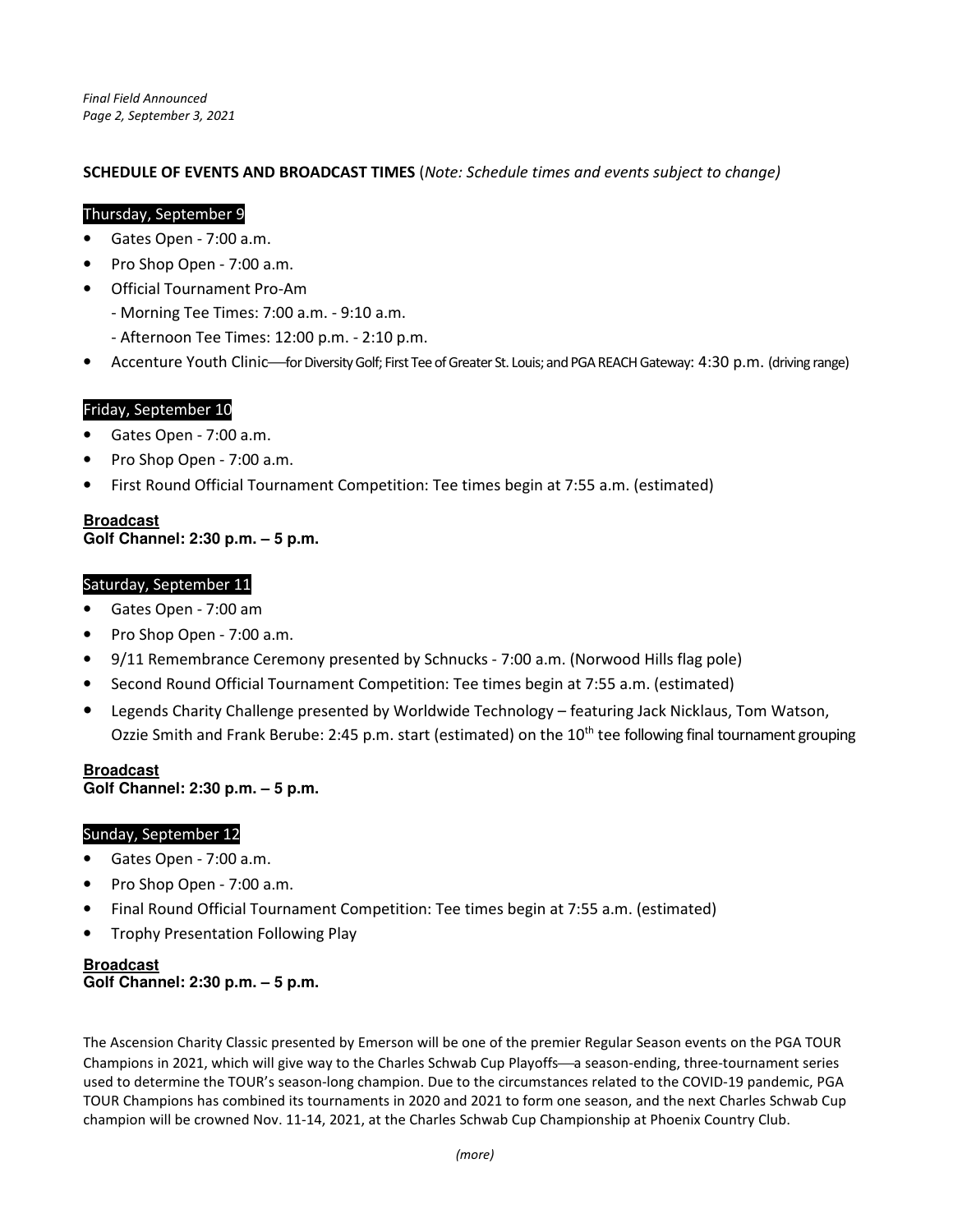## SCHEDULE OF EVENTS AND BROADCAST TIMES (Note: Schedule times and events subject to change)

### Thursday, September 9

- Gates Open 7:00 a.m.
- Pro Shop Open 7:00 a.m.
- Official Tournament Pro-Am
	- Morning Tee Times: 7:00 a.m. 9:10 a.m.
	- Afternoon Tee Times: 12:00 p.m. 2:10 p.m.
- Accenture Youth Clinic—for Diversity Golf; First Tee of Greater St. Louis; and PGA REACH Gateway: 4:30 p.m. (driving range)

## Friday, September 10

- Gates Open 7:00 a.m.
- Pro Shop Open 7:00 a.m.
- First Round Official Tournament Competition: Tee times begin at 7:55 a.m. (estimated)

#### **Broadcast Golf Channel: 2:30 p.m. – 5 p.m.**

### Saturday, September 11

- Gates Open 7:00 am
- Pro Shop Open 7:00 a.m.
- 9/11 Remembrance Ceremony presented by Schnucks 7:00 a.m. (Norwood Hills flag pole)
- Second Round Official Tournament Competition: Tee times begin at 7:55 a.m. (estimated)
- Legends Charity Challenge presented by Worldwide Technology featuring Jack Nicklaus, Tom Watson, Ozzie Smith and Frank Berube: 2:45 p.m. start (estimated) on the 10<sup>th</sup> tee following final tournament grouping

#### **Broadcast Golf Channel: 2:30 p.m. – 5 p.m.**

### Sunday, September 12

- Gates Open 7:00 a.m.
- Pro Shop Open 7:00 a.m.
- Final Round Official Tournament Competition: Tee times begin at 7:55 a.m. (estimated)
- Trophy Presentation Following Play

### **Broadcast Golf Channel: 2:30 p.m. – 5 p.m.**

The Ascension Charity Classic presented by Emerson will be one of the premier Regular Season events on the PGA TOUR Champions in 2021, which will give way to the Charles Schwab Cup Playoffs—a season-ending, three-tournament series used to determine the TOUR's season-long champion. Due to the circumstances related to the COVID-19 pandemic, PGA TOUR Champions has combined its tournaments in 2020 and 2021 to form one season, and the next Charles Schwab Cup champion will be crowned Nov. 11-14, 2021, at the Charles Schwab Cup Championship at Phoenix Country Club.